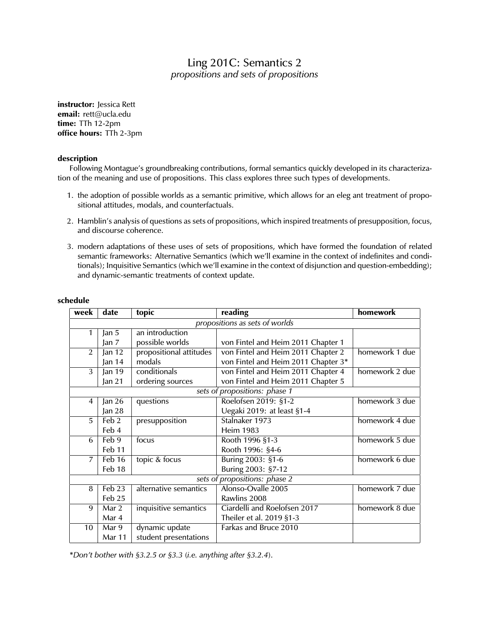## Ling 201C: Semantics 2 *propositions and sets of propositions*

**instructor:** Jessica Rett **email:** rett@ucla.edu **time:** TTh 12-2pm **office hours:** TTh 2-3pm

## **description**

Following Montague's groundbreaking contributions, formal semantics quickly developed in its characterization of the meaning and use of propositions. This class explores three such types of developments.

- 1. the adoption of possible worlds as a semantic primitive, which allows for an eleg ant treatment of propositional attitudes, modals, and counterfactuals.
- 2. Hamblin's analysis of questions as sets of propositions, which inspired treatments of presupposition, focus, and discourse coherence.
- 3. modern adaptations of these uses of sets of propositions, which have formed the foundation of related semantic frameworks: Alternative Semantics (which we'll examine in the context of indefinites and conditionals); Inquisitive Semantics (which we'll examine in the context of disjunction and question-embedding); and dynamic-semantic treatments of context update.

| week                           | date              | topic                   | reading                             | homework       |
|--------------------------------|-------------------|-------------------------|-------------------------------------|----------------|
| propositions as sets of worlds |                   |                         |                                     |                |
| 1                              | Jan 5             | an introduction         |                                     |                |
|                                | Jan <sub>7</sub>  | possible worlds         | von Fintel and Heim 2011 Chapter 1  |                |
| $\overline{2}$                 | Jan $12$          | propositional attitudes | von Fintel and Heim 2011 Chapter 2  | homework 1 due |
|                                | Jan 14            | modals                  | von Fintel and Heim 2011 Chapter 3* |                |
| 3                              | Jan $19$          | conditionals            | von Fintel and Heim 2011 Chapter 4  | homework 2 due |
|                                | Jan $21$          | ordering sources        | von Fintel and Heim 2011 Chapter 5  |                |
| sets of propositions: phase 1  |                   |                         |                                     |                |
| 4                              | Jan $26$          | questions               | Roelofsen 2019: §1-2                | homework 3 due |
|                                | Jan 28            |                         | Uegaki 2019: at least §1-4          |                |
| 5.                             | Feb 2             | presupposition          | Stalnaker 1973                      | homework 4 due |
|                                | Feb 4             |                         | <b>Heim 1983</b>                    |                |
| 6                              | Feb $9$           | focus                   | Rooth 1996 §1-3                     | homework 5 due |
|                                | Feb 11            |                         | Rooth 1996: §4-6                    |                |
| $\overline{7}$                 | Feb 16            | topic & focus           | Buring 2003: §1-6                   | homework 6 due |
|                                | Feb 18            |                         | Buring 2003: §7-12                  |                |
| sets of propositions: phase 2  |                   |                         |                                     |                |
| 8                              | Feb <sub>23</sub> | alternative semantics   | Alonso-Ovalle 2005                  | homework 7 due |
|                                | Feb 25            |                         | Rawlins 2008                        |                |
| 9                              | Mar 2             | inquisitive semantics   | Ciardelli and Roelofsen 2017        | homework 8 due |
|                                | Mar 4             |                         | Theiler et al. 2019 §1-3            |                |
| 10                             | Mar 9             | dynamic update          | Farkas and Bruce 2010               |                |
|                                | <b>Mar 11</b>     | student presentations   |                                     |                |

## **schedule**

\**Don't bother with §3.2.5 or §3.3 (i.e. anything after §3.2.4)*.